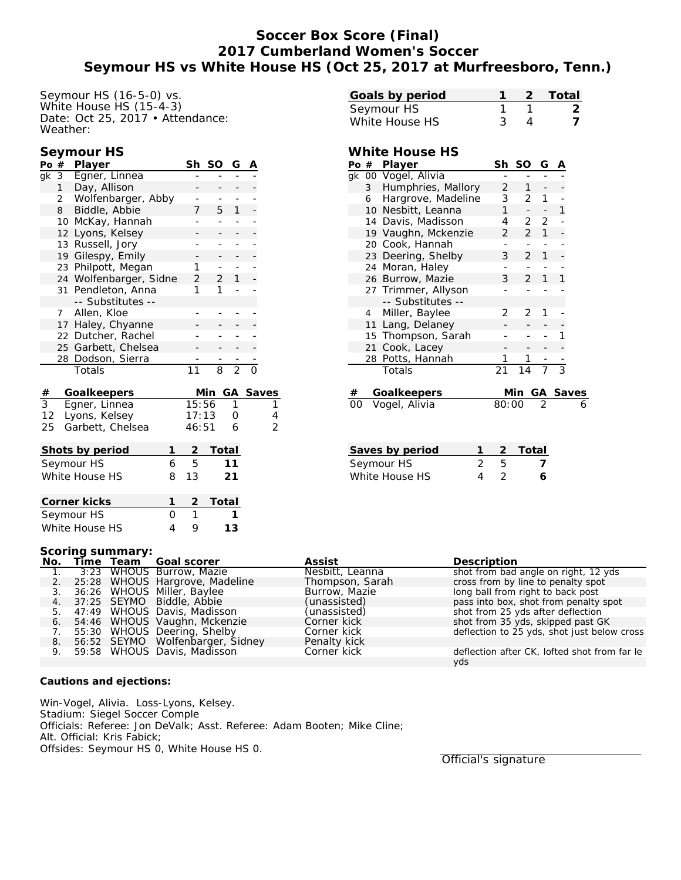# **Soccer Box Score (Final) 2017 Cumberland Women's Soccer Seymour HS vs White House HS (Oct 25, 2017 at Murfreesboro, Tenn.)**

Seymour HS (16-5-0) vs. White House HS (15-4-3) Date: Oct 25, 2017 • Attendance: Weather:

## **Seymour HS**

| Po                   | $^{\#}$             | <u>Player</u>          |  | Sh             | SO             | G              | A |                |
|----------------------|---------------------|------------------------|--|----------------|----------------|----------------|---|----------------|
| gk                   | 3                   | Egner, Linnea          |  |                |                |                |   |                |
|                      | $\mathbf{1}$        | Day, Allison           |  |                |                |                |   |                |
|                      | $\overline{2}$      | Wolfenbarger, Abby     |  |                |                |                |   |                |
|                      | 8                   | Biddle, Abbie          |  | 7              | 5              | 1              |   |                |
|                      | 10                  | McKay, Hannah          |  |                |                |                |   |                |
|                      | Lyons, Kelsey<br>12 |                        |  |                |                |                |   |                |
|                      | 13 Russell, Jory    |                        |  |                |                |                |   |                |
|                      | 19                  | Gilespy, Emily         |  |                |                |                |   |                |
|                      |                     | 23 Philpott, Megan     |  | 1              |                |                |   |                |
|                      |                     | 24 Wolfenbarger, Sidne |  | $\overline{2}$ | $\overline{2}$ | 1              |   |                |
|                      |                     | 31 Pendleton, Anna     |  | 1              | 1              |                |   |                |
|                      |                     | -- Substitutes --      |  |                |                |                |   |                |
|                      | $7^{\circ}$         | Allen, Kloe            |  |                |                |                |   |                |
|                      |                     | 17 Haley, Chyanne      |  |                |                |                |   |                |
|                      |                     | 22 Dutcher, Rachel     |  |                |                |                |   |                |
|                      |                     | 25 Garbett, Chelsea    |  |                |                |                |   |                |
|                      | 28                  | Dodson, Sierra         |  |                |                |                |   |                |
|                      |                     | Totals                 |  | 11             | 8              | $\overline{2}$ | O |                |
| #                    |                     | Goalkeepers            |  |                | Min            |                |   | GA Saves       |
| $\overline{3}$       |                     | Egner, Linnea          |  | 15:56          |                | 1              |   | 1              |
| 12                   |                     | Lyons, Kelsey          |  | 17:13          |                | 0              |   | $\overline{4}$ |
| 25                   |                     | Garbett, Chelsea       |  | 46:51          |                | 6              |   | $\overline{2}$ |
| Shots by period<br>1 |                     |                        |  |                | Total          |                |   |                |
| Seymour HS<br>6      |                     |                        |  | 5              |                | 11             |   |                |
|                      |                     |                        |  |                |                |                |   |                |

| Corner kicks   |  | 2 Total |
|----------------|--|---------|
| Seymour HS     |  |         |
| White House HS |  | 13      |

White House HS 8 13 21

| Goals by period |  | 2 Total |
|-----------------|--|---------|
| Seymour HS      |  |         |
| White House HS  |  |         |

### **White House HS**

| Po | #              | Player              | Sh    | SO             | G            | Α        |   |
|----|----------------|---------------------|-------|----------------|--------------|----------|---|
| qk |                | 00 Vogel, Alivia    |       |                |              |          |   |
|    | 3 <sup>7</sup> | Humphries, Mallory  | 2     | 1              |              |          |   |
|    | 6              | Hargrove, Madeline  | 3     | $\overline{2}$ | 1            |          |   |
|    |                | 10 Nesbitt, Leanna  | 1     |                |              | 1        |   |
|    |                | 14 Davis, Madisson  | 4     | 2              | 2            |          |   |
|    | 19             | Vaughn, Mckenzie    | 2     | $\overline{2}$ | $\mathbf{1}$ |          |   |
|    | 20             | Cook, Hannah        |       |                |              |          |   |
|    |                | 23 Deering, Shelby  | 3     | $\overline{2}$ | 1            |          |   |
|    | 24             | Moran, Haley        |       |                |              |          |   |
|    |                | 26 Burrow, Mazie    | 3     | 2              | 1            | 1        |   |
|    |                | 27 Trimmer, Allyson |       |                |              |          |   |
|    |                | -- Substitutes --   |       |                |              |          |   |
|    | 4              | Miller, Baylee      | 2     | 2              | 1            |          |   |
|    |                | 11 Lang, Delaney    |       |                |              |          |   |
|    |                | 15 Thompson, Sarah  |       |                |              |          |   |
|    | 21             | Cook, Lacey         |       |                |              |          |   |
|    | 28             | Potts, Hannah       |       | 1              |              |          |   |
|    |                | Totals              | 21    | 14             | 7            | 3        |   |
|    |                |                     |       |                |              |          |   |
| #  |                | Goalkeepers         |       | Min            |              | GA Saves |   |
| 00 |                | Vogel, Alivia       | 80:00 |                | 2            |          | 6 |
|    |                |                     |       |                |              |          |   |
|    |                |                     |       |                |              |          |   |

| Saves by period |               |   | 2 Total |
|-----------------|---------------|---|---------|
| Seymour HS      | $\mathcal{P}$ | h |         |
| White House HS  | $\mathbf{A}$  |   | 6       |

#### **Scoring summary:**

|    |  | No. Time Team Goal scorer         | Assist          | Description                                  |
|----|--|-----------------------------------|-----------------|----------------------------------------------|
|    |  | 3:23 WHOUS Burrow, Mazie          | Nesbitt, Leanna | shot from bad angle on right, 12 yds         |
|    |  | 2. 25:28 WHOUS Hargrove, Madeline | Thompson, Sarah | cross from by line to penalty spot           |
|    |  | 3. 36:26 WHOUS Miller, Baylee     | Burrow, Mazie   | long ball from right to back post            |
| 4. |  | 37:25 SEYMO Biddle, Abbie         | (unassisted)    | pass into box, shot from penalty spot        |
|    |  | 5. 47:49 WHOUS Davis, Madisson    | (unassisted)    | shot from 25 yds after deflection            |
|    |  | 6. 54:46 WHOUS Vaughn, Mckenzie   | Corner kick     | shot from 35 yds, skipped past GK            |
| 7. |  | 55:30 WHOUS Deering, Shelby       | Corner kick     | deflection to 25 yds, shot just below cross  |
| 8. |  | 56:52 SEYMO Wolfenbarger, Sidney  | Penalty kick    |                                              |
|    |  | 9. 59:58 WHOUS Davis, Madisson    | Corner kick     | deflection after CK, lofted shot from far le |
|    |  |                                   |                 | yds                                          |

**Cautions and ejections:**

Win-Vogel, Alivia. Loss-Lyons, Kelsey. Stadium: Siegel Soccer Comple Officials: Referee: Jon DeValk; Asst. Referee: Adam Booten; Mike Cline; Alt. Official: Kris Fabick; Offsides: Seymour HS 0, White House HS 0.

Official's signature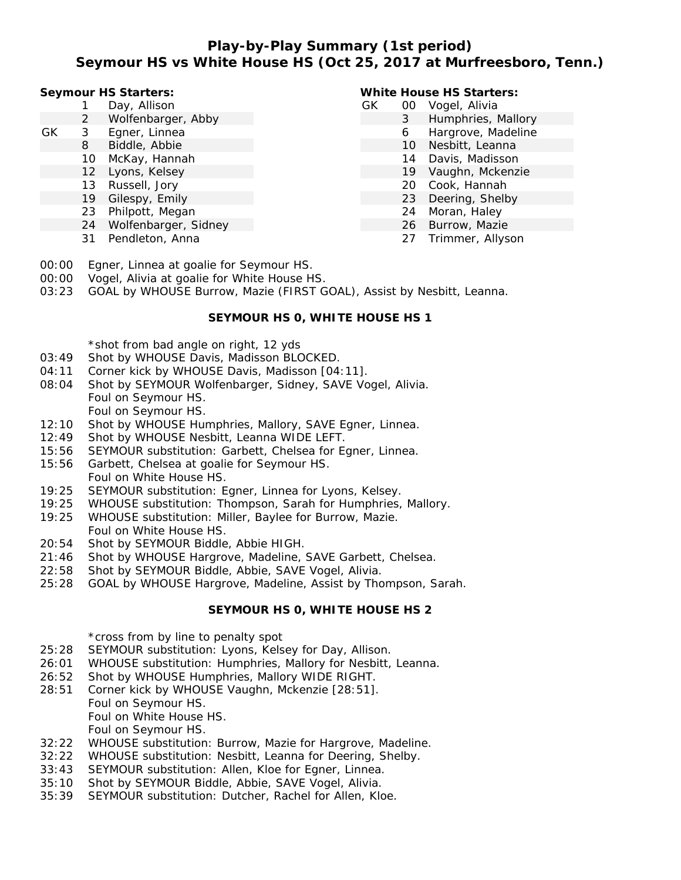# **Play-by-Play Summary (1st period) Seymour HS vs White House HS (Oct 25, 2017 at Murfreesboro, Tenn.)**

#### **Seymour HS Starters:**

- 1 Day, Allison
- 2 Wolfenbarger, Abby
- GK 3 Egner, Linnea
	- 8 Biddle, Abbie
	- 10 McKay, Hannah
	- 12 Lyons, Kelsey
	- 13 Russell, Jory
	- 19 Gilespy, Emily
	- 23 Philpott, Megan
	- 24 Wolfenbarger, Sidney
	- 31 Pendleton, Anna

### **White House HS Starters:**

- GK 00 Vogel, Alivia
	- 3 Humphries, Mallory
	- 6 Hargrove, Madeline
	- 10 Nesbitt, Leanna
	- 14 Davis, Madisson
	- 19 Vaughn, Mckenzie
	- 20 Cook, Hannah
	- 23 Deering, Shelby
	- 24 Moran, Haley
	- 26 Burrow, Mazie
		- 27 Trimmer, Allyson
- 00:00 Egner, Linnea at goalie for Seymour HS.
- 00:00 Vogel, Alivia at goalie for White House HS.
- 03:23 GOAL by WHOUSE Burrow, Mazie (FIRST GOAL), Assist by Nesbitt, Leanna.

# **SEYMOUR HS 0, WHITE HOUSE HS 1**

\*shot from bad angle on right, 12 yds

- 03:49 Shot by WHOUSE Davis, Madisson BLOCKED.
- 04:11 Corner kick by WHOUSE Davis, Madisson [04:11].
- 08:04 Shot by SEYMOUR Wolfenbarger, Sidney, SAVE Vogel, Alivia. Foul on Seymour HS. Foul on Seymour HS.
- 12:10 Shot by WHOUSE Humphries, Mallory, SAVE Egner, Linnea.
- 12:49 Shot by WHOUSE Nesbitt, Leanna WIDE LEFT.
- 15:56 SEYMOUR substitution: Garbett, Chelsea for Egner, Linnea.
- 15:56 Garbett, Chelsea at goalie for Seymour HS. Foul on White House HS.
- 19:25 SEYMOUR substitution: Egner, Linnea for Lyons, Kelsey.
- 19:25 WHOUSE substitution: Thompson, Sarah for Humphries, Mallory.
- 19:25 WHOUSE substitution: Miller, Baylee for Burrow, Mazie. Foul on White House HS.
- 20:54 Shot by SEYMOUR Biddle, Abbie HIGH.
- 21:46 Shot by WHOUSE Hargrove, Madeline, SAVE Garbett, Chelsea.
- 22:58 Shot by SEYMOUR Biddle, Abbie, SAVE Vogel, Alivia.
- 25:28 GOAL by WHOUSE Hargrove, Madeline, Assist by Thompson, Sarah.

# **SEYMOUR HS 0, WHITE HOUSE HS 2**

\*cross from by line to penalty spot

- 25:28 SEYMOUR substitution: Lyons, Kelsey for Day, Allison.
- 26:01 WHOUSE substitution: Humphries, Mallory for Nesbitt, Leanna.
- 26:52 Shot by WHOUSE Humphries, Mallory WIDE RIGHT.
- 28:51 Corner kick by WHOUSE Vaughn, Mckenzie [28:51]. Foul on Seymour HS.
	- Foul on White House HS.
	- Foul on Seymour HS.
- 32:22 WHOUSE substitution: Burrow, Mazie for Hargrove, Madeline.
- 32:22 WHOUSE substitution: Nesbitt, Leanna for Deering, Shelby.
- 33:43 SEYMOUR substitution: Allen, Kloe for Egner, Linnea.
- 35:10 Shot by SEYMOUR Biddle, Abbie, SAVE Vogel, Alivia.
- 35:39 SEYMOUR substitution: Dutcher, Rachel for Allen, Kloe.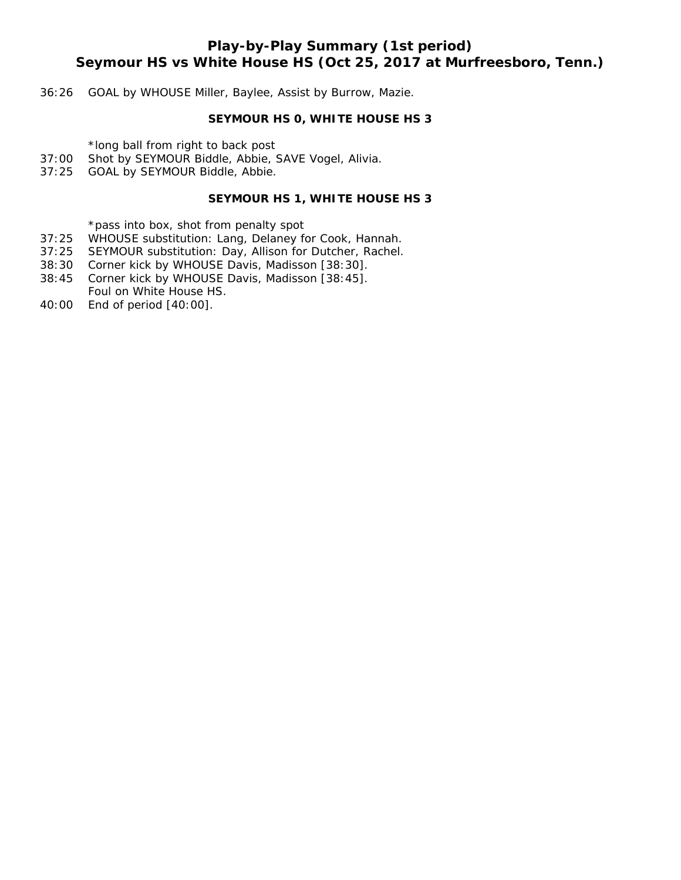# **Play-by-Play Summary (1st period) Seymour HS vs White House HS (Oct 25, 2017 at Murfreesboro, Tenn.)**

### 36:26 GOAL by WHOUSE Miller, Baylee, Assist by Burrow, Mazie.

### **SEYMOUR HS 0, WHITE HOUSE HS 3**

\*long ball from right to back post

- 37:00 Shot by SEYMOUR Biddle, Abbie, SAVE Vogel, Alivia.
- 37:25 GOAL by SEYMOUR Biddle, Abbie.

## **SEYMOUR HS 1, WHITE HOUSE HS 3**

\*pass into box, shot from penalty spot

- 37:25 WHOUSE substitution: Lang, Delaney for Cook, Hannah.
- 37:25 SEYMOUR substitution: Day, Allison for Dutcher, Rachel.
- 38:30 Corner kick by WHOUSE Davis, Madisson [38:30].
- 38:45 Corner kick by WHOUSE Davis, Madisson [38:45].
- Foul on White House HS. 40:00 End of period [40:00].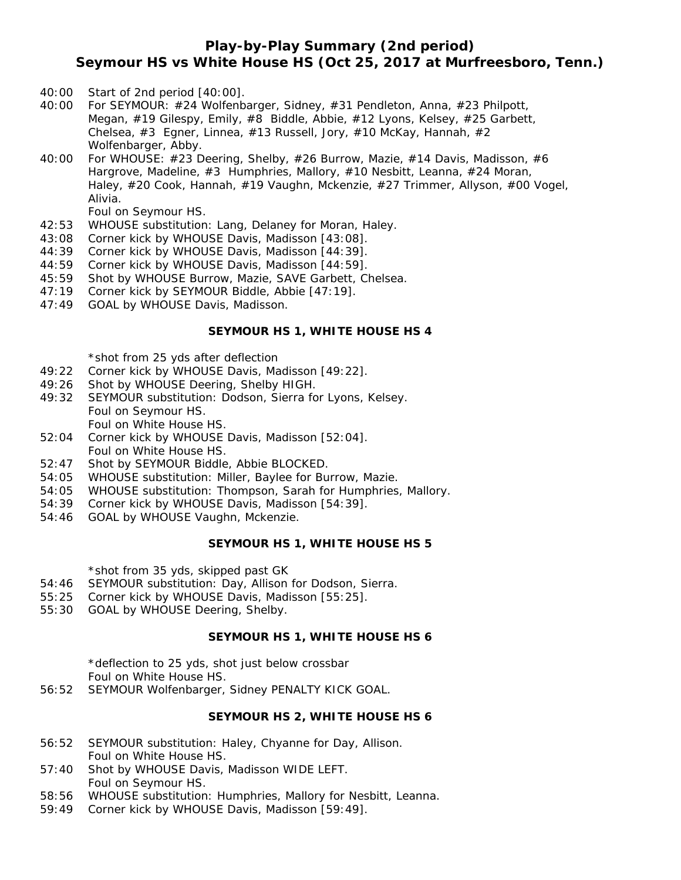# **Play-by-Play Summary (2nd period) Seymour HS vs White House HS (Oct 25, 2017 at Murfreesboro, Tenn.)**

- 40:00 Start of 2nd period [40:00].
- 40:00 For SEYMOUR: #24 Wolfenbarger, Sidney, #31 Pendleton, Anna, #23 Philpott, Megan, #19 Gilespy, Emily, #8 Biddle, Abbie, #12 Lyons, Kelsey, #25 Garbett, Chelsea,  $\#3$  Egner, Linnea,  $\#13$  Russell, Jory,  $\#10$  McKay, Hannah,  $\#2$ Wolfenbarger, Abby.
- 40:00 For WHOUSE: #23 Deering, Shelby, #26 Burrow, Mazie, #14 Davis, Madisson, #6 Hargrove, Madeline, #3 Humphries, Mallory, #10 Nesbitt, Leanna, #24 Moran, Haley, #20 Cook, Hannah, #19 Vaughn, Mckenzie, #27 Trimmer, Allyson, #00 Vogel, Alivia.

Foul on Seymour HS.

- 42:53 WHOUSE substitution: Lang, Delaney for Moran, Haley.
- 43:08 Corner kick by WHOUSE Davis, Madisson [43:08].
- 44:39 Corner kick by WHOUSE Davis, Madisson [44:39].
- 44:59 Corner kick by WHOUSE Davis, Madisson [44:59].
- 45:59 Shot by WHOUSE Burrow, Mazie, SAVE Garbett, Chelsea.
- 47:19 Corner kick by SEYMOUR Biddle, Abbie [47:19].
- 47:49 GOAL by WHOUSE Davis, Madisson.

#### **SEYMOUR HS 1, WHITE HOUSE HS 4**

\*shot from 25 yds after deflection

- 49:22 Corner kick by WHOUSE Davis, Madisson [49:22].
- 49:26 Shot by WHOUSE Deering, Shelby HIGH.
- 49:32 SEYMOUR substitution: Dodson, Sierra for Lyons, Kelsey. Foul on Seymour HS. Foul on White House HS.
- 52:04 Corner kick by WHOUSE Davis, Madisson [52:04]. Foul on White House HS.
- 52:47 Shot by SEYMOUR Biddle, Abbie BLOCKED.
- 54:05 WHOUSE substitution: Miller, Baylee for Burrow, Mazie.
- 54:05 WHOUSE substitution: Thompson, Sarah for Humphries, Mallory.
- 54:39 Corner kick by WHOUSE Davis, Madisson [54:39].
- 54:46 GOAL by WHOUSE Vaughn, Mckenzie.

#### **SEYMOUR HS 1, WHITE HOUSE HS 5**

\*shot from 35 yds, skipped past GK

- 54:46 SEYMOUR substitution: Day, Allison for Dodson, Sierra.
- 55:25 Corner kick by WHOUSE Davis, Madisson [55:25].
- 55:30 GOAL by WHOUSE Deering, Shelby.

#### **SEYMOUR HS 1, WHITE HOUSE HS 6**

\*deflection to 25 yds, shot just below crossbar Foul on White House HS.

56:52 SEYMOUR Wolfenbarger, Sidney PENALTY KICK GOAL.

#### **SEYMOUR HS 2, WHITE HOUSE HS 6**

- 56:52 SEYMOUR substitution: Haley, Chyanne for Day, Allison. Foul on White House HS.
- 57:40 Shot by WHOUSE Davis, Madisson WIDE LEFT. Foul on Seymour HS.
- 58:56 WHOUSE substitution: Humphries, Mallory for Nesbitt, Leanna.
- 59:49 Corner kick by WHOUSE Davis, Madisson [59:49].